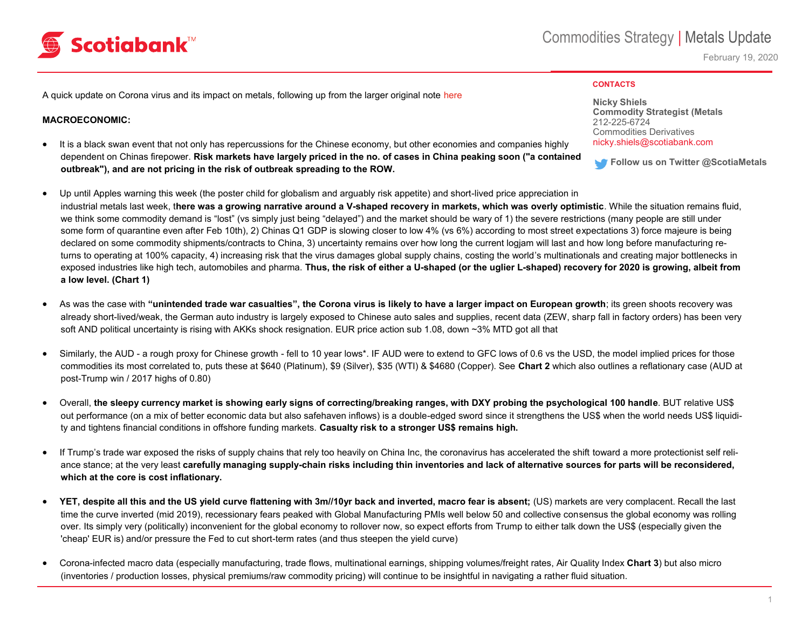## Scotiabank™

February 19, 2020

#### **CONTACTS**

A quick update on Corona virus and its impact on metals, following up from the larger original note [here](https://scotia.bluematrix.com/sellside/EmailDocViewer?encrypt=61a3803a-1a85-4109-9850-06464da9f6a0&mime=pdf&co=Scotia&id=marie.ricci@scotiabank.com&source=mail)

### **MACROECONOMIC:**

- It is a black swan event that not only has repercussions for the Chinese economy, but other economies and companies highly dependent on Chinas firepower. **Risk markets have largely priced in the no. of cases in China peaking soon ("a contained outbreak"), and are not pricing in the risk of outbreak spreading to the ROW.**
- Up until Apples warning this week (the poster child for globalism and arguably risk appetite) and short-lived price appreciation in industrial metals last week, t**here was a growing narrative around a V-shaped recovery in markets, which was overly optimistic**. While the situation remains fluid, we think some commodity demand is "lost" (vs simply just being "delayed") and the market should be wary of 1) the severe restrictions (many people are still under some form of quarantine even after Feb 10th), 2) Chinas Q1 GDP is slowing closer to low 4% (vs 6%) according to most street expectations 3) force majeure is being declared on some commodity shipments/contracts to China, 3) uncertainty remains over how long the current logjam will last and how long before manufacturing returns to operating at 100% capacity, 4) increasing risk that the virus damages global supply chains, costing the world's multinationals and creating major bottlenecks in exposed industries like high tech, automobiles and pharma. **Thus, the risk of either a U-shaped (or the uglier L-shaped) recovery for 2020 is growing, albeit from a low level. (Chart 1)**
- As was the case with **"unintended trade war casualties", the Corona virus is likely to have a larger impact on European growth**; its green shoots recovery was already short-lived/weak, the German auto industry is largely exposed to Chinese auto sales and supplies, recent data (ZEW, sharp fall in factory orders) has been very soft AND political uncertainty is rising with AKKs shock resignation. EUR price action sub 1.08, down ~3% MTD got all that
- Similarly, the AUD a rough proxy for Chinese growth fell to 10 year lows\*. IF AUD were to extend to GFC lows of 0.6 vs the USD, the model implied prices for those commodities its most correlated to, puts these at \$640 (Platinum), \$9 (Silver), \$35 (WTI) & \$4680 (Copper). See **Chart 2** which also outlines a reflationary case (AUD at post-Trump win / 2017 highs of 0.80)
- Overall, **the sleepy currency market is showing early signs of correcting/breaking ranges, with DXY probing the psychological 100 handle**. BUT relative US\$ out performance (on a mix of better economic data but also safehaven inflows) is a double-edged sword since it strengthens the US\$ when the world needs US\$ liquidity and tightens financial conditions in offshore funding markets. **Casualty risk to a stronger US\$ remains high.**
- If Trump's trade war exposed the risks of supply chains that rely too heavily on China Inc, the coronavirus has accelerated the shift toward a more protectionist self reliance stance; at the very least **carefully managing supply-chain risks including thin inventories and lack of alternative sources for parts will be reconsidered, which at the core is cost inflationary.**
- **YET, despite all this and the US yield curve flattening with 3m//10yr back and inverted, macro fear is absent;** (US) markets are very complacent. Recall the last time the curve inverted (mid 2019), recessionary fears peaked with Global Manufacturing PMIs well below 50 and collective consensus the global economy was rolling over. Its simply very (politically) inconvenient for the global economy to rollover now, so expect efforts from Trump to either talk down the US\$ (especially given the 'cheap' EUR is) and/or pressure the Fed to cut short-term rates (and thus steepen the yield curve)
- Corona-infected macro data (especially manufacturing, trade flows, multinational earnings, shipping volumes/freight rates, Air Quality Index **Chart 3**) but also micro (inventories / production losses, physical premiums/raw commodity pricing) will continue to be insightful in navigating a rather fluid situation.

**Nicky Shiels Commodity Strategist (Metals** 212-225-6724 Commodities Derivatives nicky.shiels@scotiabank.com

**Follow us on Twitter @ScotiaMetals**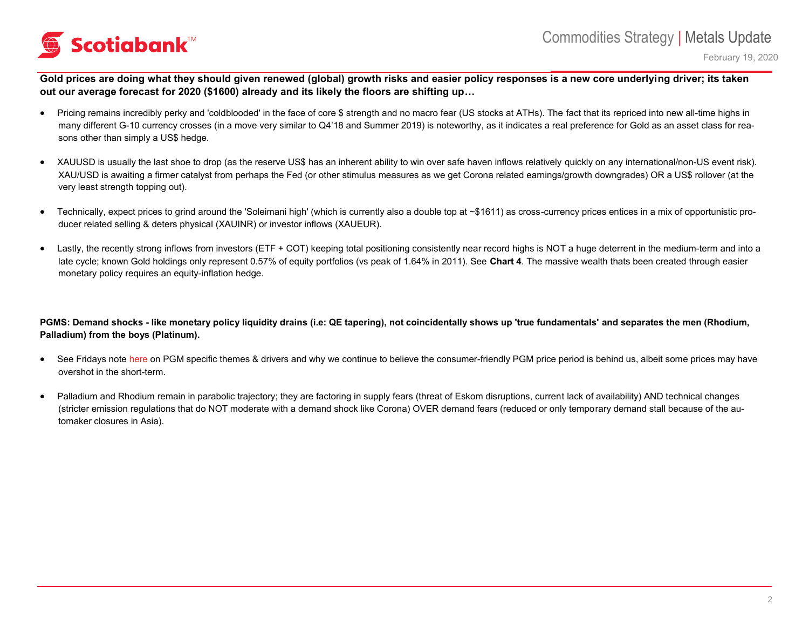# Scotiabank™

February 19, 2020

Gold prices are doing what they should given renewed (global) growth risks and easier policy responses is a new core underlying driver; its taken **out our average forecast for 2020 (\$1600) already and its likely the floors are shifting up…**

- Pricing remains incredibly perky and 'coldblooded' in the face of core \$ strength and no macro fear (US stocks at ATHs). The fact that its repriced into new all-time highs in many different G-10 currency crosses (in a move very similar to Q4'18 and Summer 2019) is noteworthy, as it indicates a real preference for Gold as an asset class for reasons other than simply a US\$ hedge.
- XAUUSD is usually the last shoe to drop (as the reserve US\$ has an inherent ability to win over safe haven inflows relatively quickly on any international/non-US event risk). XAU/USD is awaiting a firmer catalyst from perhaps the Fed (or other stimulus measures as we get Corona related earnings/growth downgrades) OR a US\$ rollover (at the very least strength topping out).
- Technically, expect prices to grind around the 'Soleimani high' (which is currently also a double top at ~\$1611) as cross-currency prices entices in a mix of opportunistic producer related selling & deters physical (XAUINR) or investor inflows (XAUEUR).
- Lastly, the recently strong inflows from investors (ETF + COT) keeping total positioning consistently near record highs is NOT a huge deterrent in the medium-term and into a late cycle; known Gold holdings only represent 0.57% of equity portfolios (vs peak of 1.64% in 2011). See **Chart 4**. The massive wealth thats been created through easier monetary policy requires an equity-inflation hedge.

### **PGMS: Demand shocks - like monetary policy liquidity drains (i.e: QE tapering), not coincidentally shows up 'true fundamentals' and separates the men (Rhodium, Palladium) from the boys (Platinum).**

- See Fridays note [here](https://scotia.bluematrix.com/sellside/EmailDocViewer?encrypt=ea8eb793-cd19-47ee-acd3-fbc004c5304a&mime=pdf&co=Scotia&id=nicky.shiels@scotiabank.com&source=mail) on PGM specific themes & drivers and why we continue to believe the consumer-friendly PGM price period is behind us, albeit some prices may have overshot in the short-term.
- Palladium and Rhodium remain in parabolic trajectory; they are factoring in supply fears (threat of Eskom disruptions, current lack of availability) AND technical changes (stricter emission regulations that do NOT moderate with a demand shock like Corona) OVER demand fears (reduced or only temporary demand stall because of the automaker closures in Asia).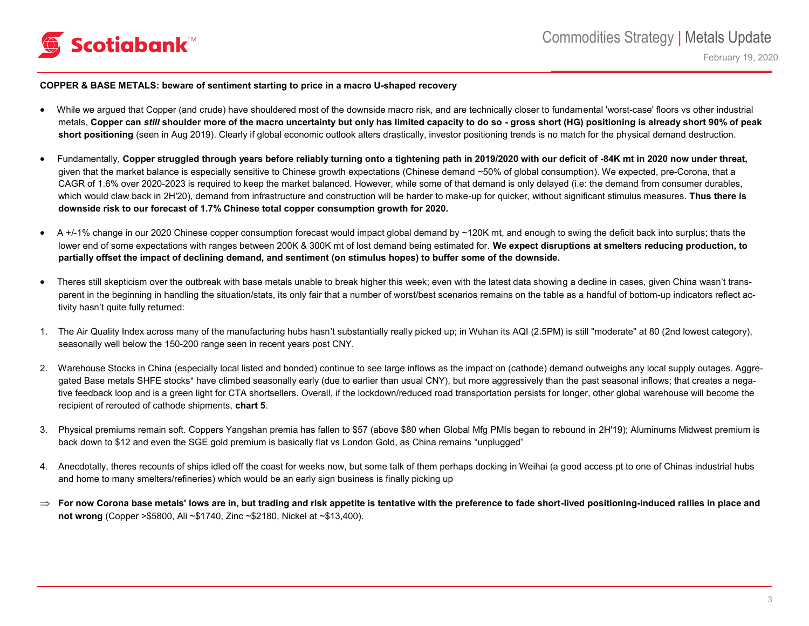

#### **COPPER & BASE METALS: beware of sentiment starting to price in a macro U-shaped recovery**

- While we argued that Copper (and crude) have shouldered most of the downside macro risk, and are technically closer to fundamental 'worst-case' floors vs other industrial metals, **Copper can** *still* **shoulder more of the macro uncertainty but only has limited capacity to do so - gross short (HG) positioning is already short 90% of peak**  short positioning (seen in Aug 2019). Clearly if global economic outlook alters drastically, investor positioning trends is no match for the physical demand destruction.
- Fundamentally, **Copper struggled through years before reliably turning onto a tightening path in 2019/2020 with our deficit of -84K mt in 2020 now under threat,** given that the market balance is especially sensitive to Chinese growth expectations (Chinese demand ~50% of global consumption). We expected, pre-Corona, that a CAGR of 1.6% over 2020-2023 is required to keep the market balanced. However, while some of that demand is only delayed (i.e: the demand from consumer durables, which would claw back in 2H'20), demand from infrastructure and construction will be harder to make-up for quicker, without significant stimulus measures. **Thus there is downside risk to our forecast of 1.7% Chinese total copper consumption growth for 2020.**
- A +/-1% change in our 2020 Chinese copper consumption forecast would impact global demand by ~120K mt, and enough to swing the deficit back into surplus; thats the lower end of some expectations with ranges between 200K & 300K mt of lost demand being estimated for. **We expect disruptions at smelters reducing production, to partially offset the impact of declining demand, and sentiment (on stimulus hopes) to buffer some of the downside.**
- Theres still skepticism over the outbreak with base metals unable to break higher this week; even with the latest data showing a decline in cases, given China wasn't transparent in the beginning in handling the situation/stats, its only fair that a number of worst/best scenarios remains on the table as a handful of bottom-up indicators reflect activity hasn't quite fully returned:
- 1. The Air Quality Index across many of the manufacturing hubs hasn't substantially really picked up; in Wuhan its AQI (2.5PM) is still "moderate" at 80 (2nd lowest category), seasonally well below the 150-200 range seen in recent years post CNY.
- 2. Warehouse Stocks in China (especially local listed and bonded) continue to see large inflows as the impact on (cathode) demand outweighs any local supply outages. Aggregated Base metals SHFE stocks\* have climbed seasonally early (due to earlier than usual CNY), but more aggressively than the past seasonal inflows; that creates a negative feedback loop and is a green light for CTA shortsellers. Overall, if the lockdown/reduced road transportation persists for longer, other global warehouse will become the recipient of rerouted of cathode shipments, **chart 5**.
- 3. Physical premiums remain soft. Coppers Yangshan premia has fallen to \$57 (above \$80 when Global Mfg PMIs began to rebound in 2H'19); Aluminums Midwest premium is back down to \$12 and even the SGE gold premium is basically flat vs London Gold, as China remains "unplugged"
- 4. Anecdotally, theres recounts of ships idled off the coast for weeks now, but some talk of them perhaps docking in Weihai (a good access pt to one of Chinas industrial hubs and home to many smelters/refineries) which would be an early sign business is finally picking up
- **For now Corona base metals' lows are in, but trading and risk appetite is tentative with the preference to fade short-lived positioning-induced rallies in place and not wrong** (Copper >\$5800, Ali ~\$1740, Zinc ~\$2180, Nickel at ~\$13,400).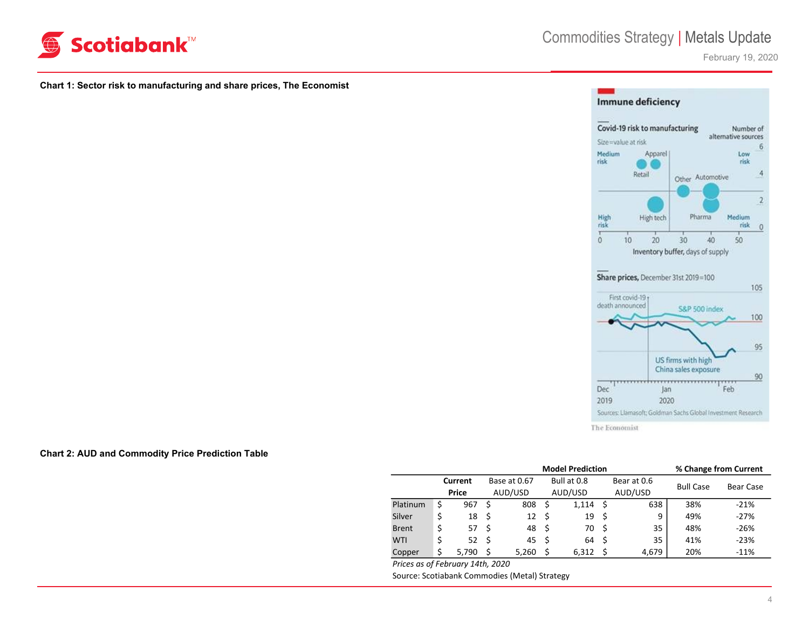

February 19, 2020

#### **Chart 1: Sector risk to manufacturing and share prices, The Economist**



#### **Chart 2: AUD and Commodity Price Prediction Table**

| Current<br>Price | Base at 0.67<br>AUD/USD |                                                              |                        |    | Bear at 0.6 |                  |           |
|------------------|-------------------------|--------------------------------------------------------------|------------------------|----|-------------|------------------|-----------|
|                  |                         |                                                              | Bull at 0.8            |    |             | <b>Bull Case</b> | Bear Case |
|                  |                         |                                                              | AUD/USD                |    | AUD/USD     |                  |           |
| 967              | 808<br>- S              | - S                                                          | 1,114                  | -S | 638         | 38%              | $-21%$    |
| $18 \quad$       | 12                      | - \$                                                         | 19                     | -S | 9           | 49%              | $-27%$    |
|                  |                         |                                                              | 70                     | -S | 35          | 48%              | $-26%$    |
|                  |                         |                                                              | 64                     | -S | 35          | 41%              | $-23%$    |
| 5.790            |                         | - \$                                                         | 6,312                  | ς  | 4.679       | 20%              | $-11%$    |
|                  |                         | 57 \$<br>$52 \quad$<br>-Ś<br>Dricas as of Eabruary 14th 2020 | 48 \$<br>45\$<br>5.260 |    |             |                  |           |

*Prices as of February 14th, 2020* Source: Scotiabank Commodies (Metal) Strategy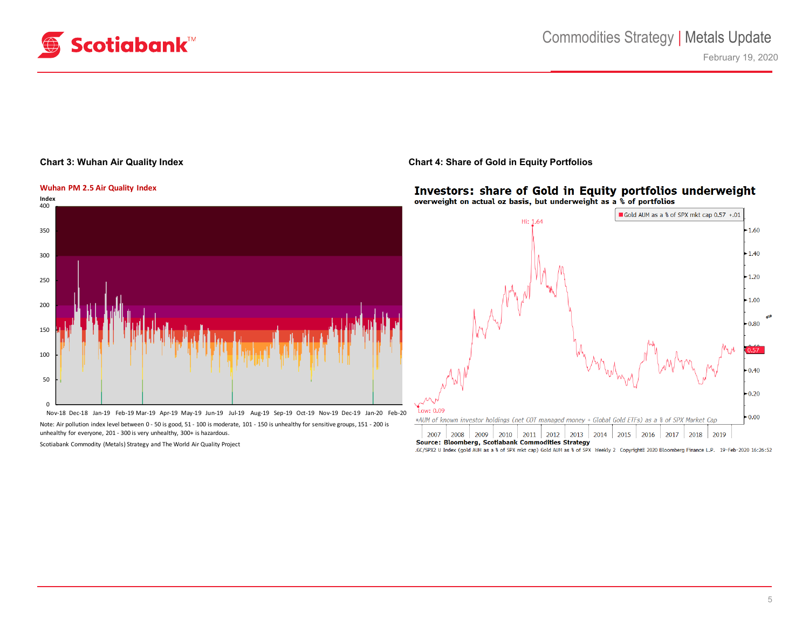

#### **Chart 3: Wuhan Air Quality Index**



Nov-18 Dec-18 Jan-19 Feb-19 Mar-19 Apr-19 May-19 Jun-19 Jul-19 Aug-19 Sep-19 Oct-19 Nov-19 Dec-19 Jan-20 Feb-20 Note: Air pollution index level between 0 - 50 is good, 51 - 100 is moderate, 101 - 150 is unhealthy for sensitive groups, 151 - 200 is unhealthy for everyone, 201 - 300 is very unhealthy, 300+ is hazardous.

Scotiabank Commodity (Metals) Strategy and The World Air Quality Project

### **Chart 4: Share of Gold in Equity Portfolios**

#### Investors: share of Gold in Equity portfolios underweight overweight on actual oz basis, but underweight as a % of portfolios



.GC/SPX2 U Index (gold AUM as a % of SPX mkt cap) Gold AUM as % of SPX Weekly 2 Copyright® 2020 Bloomberg Finance L.P. 19-Feb-2020 16:26:52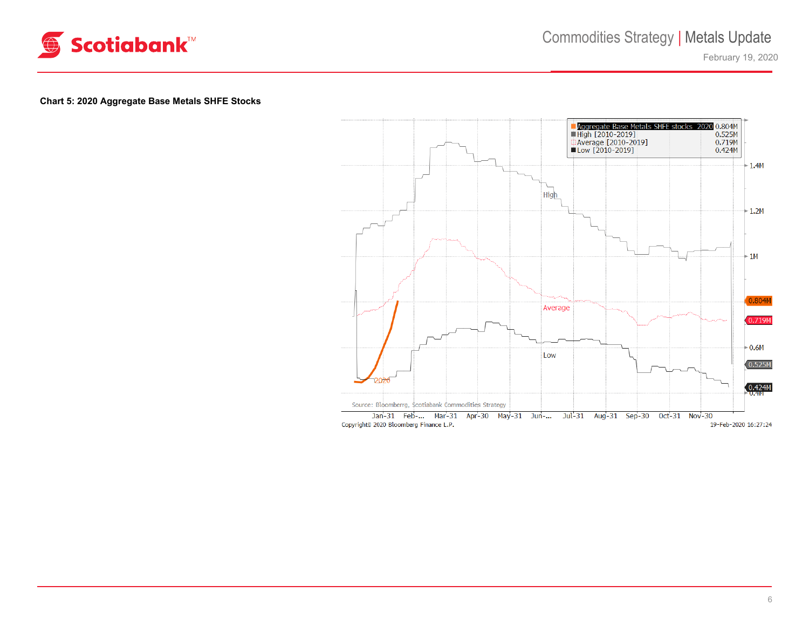

February 19, 2020

## **Chart 5: 2020 Aggregate Base Metals SHFE Stocks**

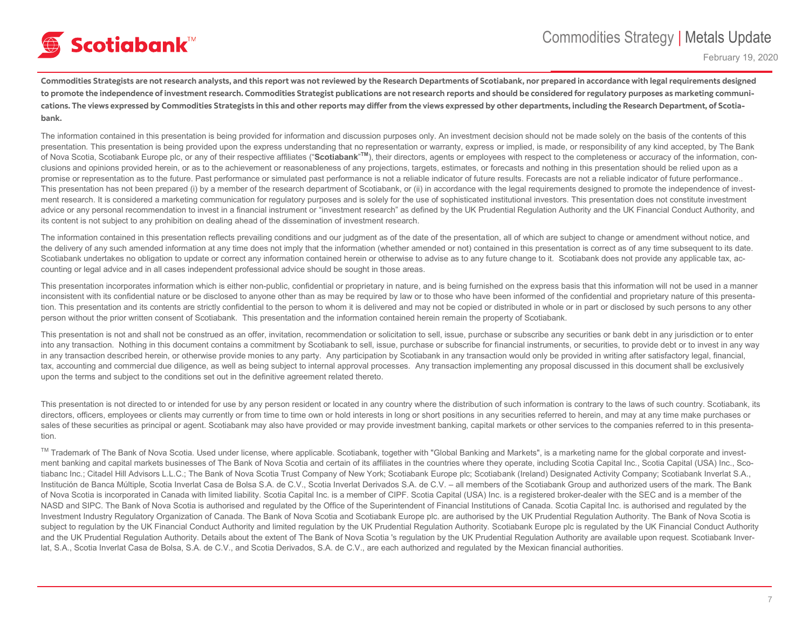# **⑤ Scotiabank**™

February 19, 2020

**Commodities Strategists are not research analysts, and this report was not reviewed by the Research Departments of Scotiabank, nor prepared in accordance with legal requirements designed to promote the independence of investment research. Commodities Strategist publications are not research reports and should be considered for regulatory purposes as marketing communications. The views expressed by Commodities Strategists in this and other reports may differ from the views expressed by other departments, including the Research Department, of Scotiabank.**

The information contained in this presentation is being provided for information and discussion purposes only. An investment decision should not be made solely on the basis of the contents of this presentation. This presentation is being provided upon the express understanding that no representation or warranty, express or implied, is made, or responsibility of any kind accepted, by The Bank of Nova Scotia, Scotiabank Europe plc, or any of their respective affiliates ("Scotiabank"<sup>™</sup>), their directors, agents or employees with respect to the completeness or accuracy of the information, conclusions and opinions provided herein, or as to the achievement or reasonableness of any projections, targets, estimates, or forecasts and nothing in this presentation should be relied upon as a promise or representation as to the future. Past performance or simulated past performance is not a reliable indicator of future results. Forecasts are not a reliable indicator of future performance.. This presentation has not been prepared (i) by a member of the research department of Scotiabank, or (ii) in accordance with the legal requirements designed to promote the independence of investment research. It is considered a marketing communication for regulatory purposes and is solely for the use of sophisticated institutional investors. This presentation does not constitute investment advice or any personal recommendation to invest in a financial instrument or "investment research" as defined by the UK Prudential Regulation Authority and the UK Financial Conduct Authority, and its content is not subject to any prohibition on dealing ahead of the dissemination of investment research.

The information contained in this presentation reflects prevailing conditions and our judgment as of the date of the presentation, all of which are subject to change or amendment without notice, and the delivery of any such amended information at any time does not imply that the information (whether amended or not) contained in this presentation is correct as of any time subsequent to its date. Scotiabank undertakes no obligation to update or correct any information contained herein or otherwise to advise as to any future change to it. Scotiabank does not provide any applicable tax, accounting or legal advice and in all cases independent professional advice should be sought in those areas.

This presentation incorporates information which is either non-public, confidential or proprietary in nature, and is being furnished on the express basis that this information will not be used in a manner inconsistent with its confidential nature or be disclosed to anyone other than as may be required by law or to those who have been informed of the confidential and proprietary nature of this presentation. This presentation and its contents are strictly confidential to the person to whom it is delivered and may not be copied or distributed in whole or in part or disclosed by such persons to any other person without the prior written consent of Scotiabank. This presentation and the information contained herein remain the property of Scotiabank.

This presentation is not and shall not be construed as an offer, invitation, recommendation or solicitation to sell, issue, purchase or subscribe any securities or bank debt in any jurisdiction or to enter into any transaction. Nothing in this document contains a commitment by Scotiabank to sell, issue, purchase or subscribe for financial instruments, or securities, to provide debt or to invest in any way in any transaction described herein, or otherwise provide monies to any party. Any participation by Scotiabank in any transaction would only be provided in writing after satisfactory legal, financial, tax, accounting and commercial due diligence, as well as being subject to internal approval processes. Any transaction implementing any proposal discussed in this document shall be exclusively upon the terms and subject to the conditions set out in the definitive agreement related thereto.

This presentation is not directed to or intended for use by any person resident or located in any country where the distribution of such information is contrary to the laws of such country. Scotiabank, its directors, officers, employees or clients may currently or from time to time own or hold interests in long or short positions in any securities referred to herein, and may at any time make purchases or sales of these securities as principal or agent. Scotiabank may also have provided or may provide investment banking, capital markets or other services to the companies referred to in this presentation.

™ Trademark of The Bank of Nova Scotia. Used under license, where applicable. Scotiabank, together with "Global Banking and Markets", is a marketing name for the global corporate and investment banking and capital markets businesses of The Bank of Nova Scotia and certain of its affiliates in the countries where they operate, including Scotia Capital Inc., Scotia Capital (USA) Inc., Scotia Capital (USA) Inc., tiabanc Inc.; Citadel Hill Advisors L.L.C.; The Bank of Nova Scotia Trust Company of New York; Scotiabank Europe plc; Scotiabank (Ireland) Designated Activity Company; Scotiabank Inverlat S.A., Institución de Banca Múltiple, Scotia Inverlat Casa de Bolsa S.A. de C.V., Scotia Inverlat Derivados S.A. de C.V. – all members of the Scotiabank Group and authorized users of the mark. The Bank of Nova Scotia is incorporated in Canada with limited liability. Scotia Capital Inc. is a member of CIPF. Scotia Capital (USA) Inc. is a registered broker-dealer with the SEC and is a member of the NASD and SIPC. The Bank of Nova Scotia is authorised and regulated by the Office of the Superintendent of Financial Institutions of Canada. Scotia Capital Inc. is authorised and regulated by the Investment Industry Regulatory Organization of Canada. The Bank of Nova Scotia and Scotiabank Europe plc. are authorised by the UK Prudential Regulation Authority. The Bank of Nova Scotia is subject to regulation by the UK Financial Conduct Authority and limited regulation by the UK Prudential Regulation Authority. Scotiabank Europe plc is regulated by the UK Financial Conduct Authority and the UK Prudential Regulation Authority. Details about the extent of The Bank of Nova Scotia 's regulation by the UK Prudential Regulation Authority are available upon request. Scotiabank Inverlat, S.A., Scotia Inverlat Casa de Bolsa, S.A. de C.V., and Scotia Derivados, S.A. de C.V., are each authorized and regulated by the Mexican financial authorities.